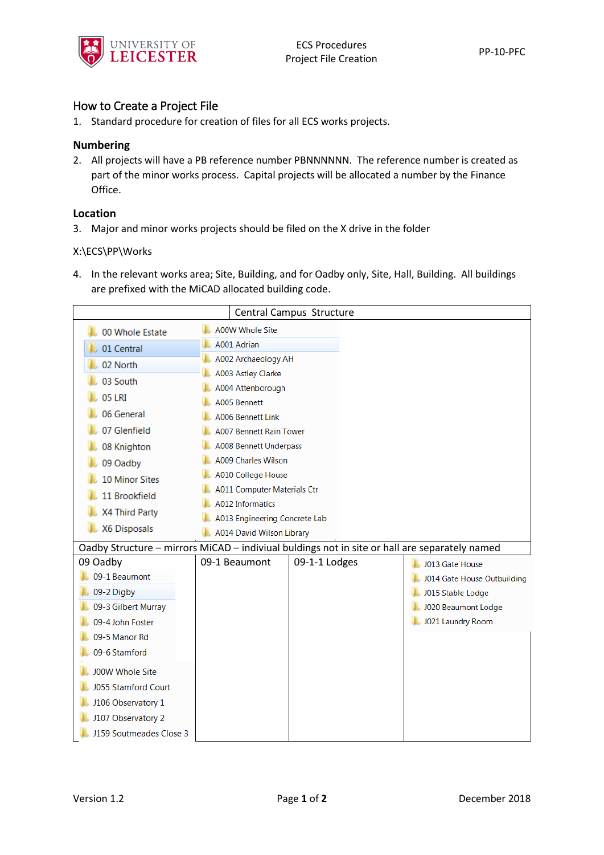

# How to Create a Project File

1. Standard procedure for creation of files for all ECS works projects.

### **Numbering**

2. All projects will have a PB reference number PBNNNNNN. The reference number is created as part of the minor works process. Capital projects will be allocated a number by the Finance Office.

### **Location**

3. Major and minor works projects should be filed on the X drive in the folder

#### X:\ECS\PP\Works

4. In the relevant works area; Site, Building, and for Oadby only, Site, Hall, Building. All buildings are prefixed with the MiCAD allocated building code.

| Central Campus Structure                                                                      |                                   |               |                             |
|-----------------------------------------------------------------------------------------------|-----------------------------------|---------------|-----------------------------|
| 00 Whole Estate                                                                               | <b>A00W Whole Site</b>            |               |                             |
| 01 Central                                                                                    | A001 Adrian                       |               |                             |
| 02 North                                                                                      | A002 Archaeology AH               |               |                             |
| 03 South                                                                                      | A003 Astley Clarke                |               |                             |
| 05 LRI                                                                                        | A004 Attenborough                 |               |                             |
| 06 General                                                                                    | A005 Bennett<br>A006 Bennett Link |               |                             |
| 07 Glenfield                                                                                  | <b>A007 Bennett Rain Tower</b>    |               |                             |
| 08 Knighton                                                                                   | <b>A008 Bennett Underpass</b>     |               |                             |
| 09 Oadby                                                                                      | <b>A009 Charles Wilson</b>        |               |                             |
| <b>10 Minor Sites</b>                                                                         | A010 College House                |               |                             |
| 11 Brookfield                                                                                 | A011 Computer Materials Ctr       |               |                             |
|                                                                                               | <b>A012 Informatics</b>           |               |                             |
| X4 Third Party                                                                                | A013 Engineering Concrete Lab     |               |                             |
| X6 Disposals                                                                                  | A014 David Wilson Library         |               |                             |
| Oadby Structure - mirrors MiCAD - indiviual buldings not in site or hall are separately named |                                   |               |                             |
| 09 Oadby                                                                                      | 09-1 Beaumont                     | 09-1-1 Lodges | J013 Gate House             |
| 09-1 Beaumont                                                                                 |                                   |               | J014 Gate House Outbuilding |
| 09-2 Digby                                                                                    |                                   |               | J015 Stable Lodge           |
| 09-3 Gilbert Murray                                                                           |                                   |               | J020 Beaumont Lodge         |
| 09-4 John Foster                                                                              |                                   |               | J021 Laundry Room           |
| 09-5 Manor Rd<br>09-6 Stamford                                                                |                                   |               |                             |
|                                                                                               |                                   |               |                             |
| <b>J00W Whole Site</b>                                                                        |                                   |               |                             |
| <b>J055 Stamford Court</b>                                                                    |                                   |               |                             |
| J106 Observatory 1                                                                            |                                   |               |                             |
| J107 Observatory 2                                                                            |                                   |               |                             |
| J159 Soutmeades Close 3                                                                       |                                   |               |                             |